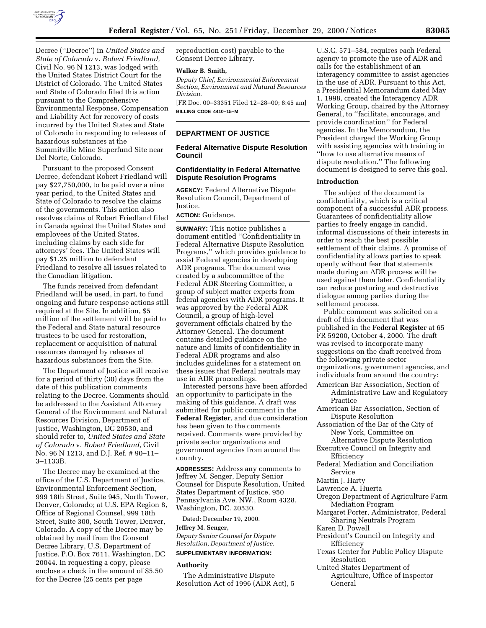

Decree (''Decree'') in *United States and State of Colorado* v. *Robert Friedland,* Civil No. 96 N 1213, was lodged with the United States District Court for the District of Colorado. The United States and State of Colorado filed this action pursuant to the Comprehensive Environmental Response, Compensation and Liability Act for recovery of costs incurred by the United States and State of Colorado in responding to releases of hazardous substances at the Summitville Mine Superfund Site near Del Norte, Colorado.

Pursuant to the proposed Consent Decree, defendant Robert Friedland will pay \$27,750,000, to be paid over a nine year period, to the United States and State of Colorado to resolve the claims of the governments. This action also resolves claims of Robert Friedland filed in Canada against the United States and employees of the United States, including claims by each side for attorneys' fees. The United States will pay \$1.25 million to defendant Friedland to resolve all issues related to the Canadian litigation.

The funds received from defendant Friedland will be used, in part, to fund ongoing and future response actions still required at the Site. In addition, \$5 million of the settlement will be paid to the Federal and State natural resource trustees to be used for restoration, replacement or acquisition of natural resources damaged by releases of hazardous substances from the Site.

The Department of Justice will receive for a period of thirty (30) days from the date of this publication comments relating to the Decree. Comments should be addressed to the Assistant Attorney General of the Environment and Natural Resources Division, Department of Justice, Washington, DC 20530, and should refer to, *United States and State of Colorado* v. *Robert Friedland,* Civil No. 96 N 1213, and D.J. Ref. # 90–11– 3–1133B.

The Decree may be examined at the office of the U.S. Department of Justice, Environmental Enforcement Section, 999 18th Street, Suite 945, North Tower, Denver, Colorado; at U.S. EPA Region 8, Office of Regional Counsel, 999 18th Street, Suite 300, South Tower, Denver, Colorado. A copy of the Decree may be obtained by mail from the Consent Decree Library, U.S. Department of Justice, P.O. Box 7611, Washington, DC 20044. In requesting a copy, please enclose a check in the amount of \$5.50 for the Decree (25 cents per page

reproduction cost) payable to the Consent Decree Library.

### **Walker B. Smith,**

*Deputy Chief, Environmental Enforcement Section, Environment and Natural Resources Division.*

[FR Doc. 00–33351 Filed 12–28–00; 8:45 am] **BILLING CODE 4410–15–M**

# **DEPARTMENT OF JUSTICE**

# **Federal Alternative Dispute Resolution Council**

# **Confidentiality in Federal Alternative Dispute Resolution Programs**

**AGENCY:** Federal Alternative Dispute Resolution Council, Department of Justice.

# **ACTION:** Guidance.

**SUMMARY:** This notice publishes a document entitled ''Confidentiality in Federal Alternative Dispute Resolution Programs,'' which provides guidance to assist Federal agencies in developing ADR programs. The document was created by a subcommittee of the Federal ADR Steering Committee, a group of subject matter experts from federal agencies with ADR programs. It was approved by the Federal ADR Council, a group of high-level government officials chaired by the Attorney General. The document contains detailed guidance on the nature and limits of confidentiality in Federal ADR programs and also includes guidelines for a statement on these issues that Federal neutrals may use in ADR proceedings.

Interested persons have been afforded an opportunity to participate in the making of this guidance. A draft was submitted for public comment in the **Federal Register**, and due consideration has been given to the comments received. Comments were provided by private sector organizations and government agencies from around the country.

**ADDRESSES:** Address any comments to Jeffrey M. Senger, Deputy Senior Counsel for Dispute Resolution, United States Department of Justice, 950 Pennsylvania Ave. NW., Room 4328, Washington, DC. 20530.

Dated: December 19, 2000.

### **Jeffrey M. Senger,**

*Deputy Senior Counsel for Dispute Resolution, Department of Justice.*

# **SUPPLEMENTARY INFORMATION:**

#### **Authority**

The Administrative Dispute Resolution Act of 1996 (ADR Act), 5

U.S.C. 571–584, requires each Federal agency to promote the use of ADR and calls for the establishment of an interagency committee to assist agencies in the use of ADR. Pursuant to this Act, a Presidential Memorandum dated May 1, 1998, created the Interagency ADR Working Group, chaired by the Attorney General, to ''facilitate, encourage, and provide coordination'' for Federal agencies. In the Memorandum, the President charged the Working Group with assisting agencies with training in ''how to use alternative means of dispute resolution.'' The following document is designed to serve this goal.

### **Introduction**

The subject of the document is confidentiality, which is a critical component of a successful ADR process. Guarantees of confidentiality allow parties to freely engage in candid, informal discussions of their interests in order to reach the best possible settlement of their claims. A promise of confidentiality allows parties to speak openly without fear that statements made during an ADR process will be used against them later. Confidentiality can reduce posturing and destructive dialogue among parties during the settlement process.

Public comment was solicited on a draft of this document that was published in the **Federal Register** at 65 FR 59200, October 4, 2000. The draft was revised to incorporate many suggestions on the draft received from the following private sector organizations, government agencies, and individuals from around the country:

- American Bar Association, Section of Administrative Law and Regulatory Practice
- American Bar Association, Section of Dispute Resolution
- Association of the Bar of the City of New York, Committee on
- Alternative Dispute Resolution Executive Council on Integrity and Efficiency
- Federal Mediation and Conciliation Service
- Martin J. Harty
- Lawrence A. Huerta
- Oregon Department of Agriculture Farm Mediation Program
- Margaret Porter, Administrator, Federal Sharing Neutrals Program
- Karen D. Powell
- President's Council on Integrity and Efficiency
- Texas Center for Public Policy Dispute Resolution
- United States Department of Agriculture, Office of Inspector General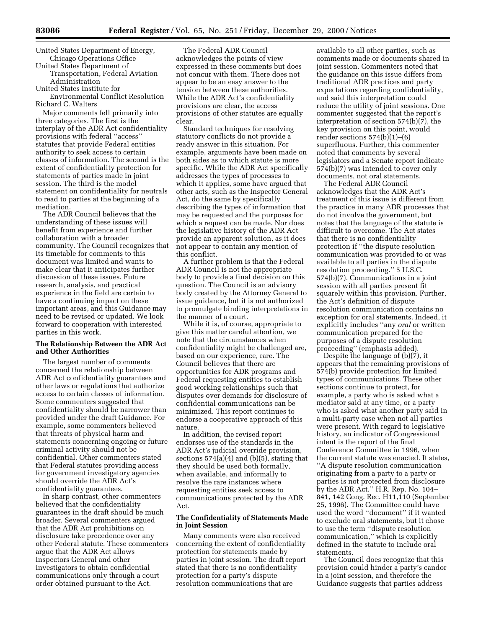United States Department of Energy, Chicago Operations Office

United States Department of Transportation, Federal Aviation

Administration

United States Institute for

Environmental Conflict Resolution Richard C. Walters

Major comments fell primarily into three categories. The first is the interplay of the ADR Act confidentiality provisions with federal ''access'' statutes that provide Federal entities authority to seek access to certain classes of information. The second is the extent of confidentiality protection for statements of parties made in joint session. The third is the model statement on confidentiality for neutrals to read to parties at the beginning of a mediation.

The ADR Council believes that the understanding of these issues will benefit from experience and further collaboration with a broader community. The Council recognizes that its timetable for comments to this document was limited and wants to make clear that it anticipates further discussion of these issues. Future research, analysis, and practical experience in the field are certain to have a continuing impact on these important areas, and this Guidance may need to be revised or updated. We look forward to cooperation with interested parties in this work.

# **The Relationship Between the ADR Act and Other Authorities**

The largest number of comments concerned the relationship between ADR Act confidentiality guarantees and other laws or regulations that authorize access to certain classes of information. Some commenters suggested that confidentiality should be narrower than provided under the draft Guidance. For example, some commenters believed that threats of physical harm and statements concerning ongoing or future criminal activity should not be confidential. Other commenters stated that Federal statutes providing access for government investigatory agencies should override the ADR Act's confidentiality guarantees.

In sharp contrast, other commenters believed that the confidentiality guarantees in the draft should be much broader. Several commenters argued that the ADR Act prohibitions on disclosure take precedence over any other Federal statute. These commenters argue that the ADR Act allows Inspectors General and other investigators to obtain confidential communications only through a court order obtained pursuant to the Act.

The Federal ADR Council acknowledges the points of view expressed in these comments but does not concur with them. There does not appear to be an easy answer to the tension between these authorities. While the ADR Act's confidentiality provisions are clear, the access provisions of other statutes are equally clear.

Standard techniques for resolving statutory conflicts do not provide a ready answer in this situation. For example, arguments have been made on both sides as to which statute is more specific. While the ADR Act specifically addresses the types of processes to which it applies, some have argued that other acts, such as the Inspector General Act, do the same by specifically describing the types of information that may be requested and the purposes for which a request can be made. Nor does the legislative history of the ADR Act provide an apparent solution, as it does not appear to contain any mention of this conflict.

A further problem is that the Federal ADR Council is not the appropriate body to provide a final decision on this question. The Council is an advisory body created by the Attorney General to issue guidance, but it is not authorized to promulgate binding interpretations in the manner of a court.

While it is, of course, appropriate to give this matter careful attention, we note that the circumstances when confidentiality might be challenged are, based on our experience, rare. The Council believes that there are opportunities for ADR programs and Federal requesting entities to establish good working relationships such that disputes over demands for disclosure of confidential communications can be minimized. This report continues to endorse a cooperative approach of this nature.

In addition, the revised report endorses use of the standards in the ADR Act's judicial override provision, sections 574(a)(4) and (b)(5), stating that they should be used both formally, when available, and informally to resolve the rare instances where requesting entities seek access to communications protected by the ADR Act.

# **The Confidentiality of Statements Made in Joint Session**

Many comments were also received concerning the extent of confidentiality protection for statements made by parties in joint session. The draft report stated that there is no confidentiality protection for a party's dispute resolution communications that are

available to all other parties, such as comments made or documents shared in joint session. Commenters noted that the guidance on this issue differs from traditional ADR practices and party expectations regarding confidentiality, and said this interpretation could reduce the utility of joint sessions. One commenter suggested that the report's interpretation of section 574(b)(7), the key provision on this point, would render sections 574(b)(1)–(6) superfluous. Further, this commenter noted that comments by several legislators and a Senate report indicate 574(b)(7) was intended to cover only documents, not oral statements.

The Federal ADR Council acknowledges that the ADR Act's treatment of this issue is different from the practice in many ADR processes that do not involve the government, but notes that the language of the statute is difficult to overcome. The Act states that there is no confidentiality protection if ''the dispute resolution communication was provided to or was available to all parties in the dispute resolution proceeding.'' 5 U.S.C. 574(b)(7). Communications in a joint session with all parties present fit squarely within this provision. Further, the Act's definition of dispute resolution communication contains no exception for oral statements. Indeed, it explicitly includes ''any *oral* or written communication prepared for the purposes of a dispute resolution proceeding'' (emphasis added).

Despite the language of (b)(7), it appears that the remaining provisions of 574(b) provide protection for limited types of communications. These other sections continue to protect, for example, a party who is asked what a mediator said at any time, or a party who is asked what another party said in a multi-party case when not all parties were present. With regard to legislative history, an indicator of Congressional intent is the report of the final Conference Committee in 1996, when the current statute was enacted. It states, ''A dispute resolution communication originating from a party to a party or parties is not protected from disclosure by the ADR Act.'' H.R. Rep. No. 104– 841, 142 Cong. Rec. H11,110 (September 25, 1996). The Committee could have used the word ''document'' if it wanted to exclude oral statements, but it chose to use the term ''dispute resolution communication,'' which is explicitly defined in the statute to include oral statements.

The Council does recognize that this provision could hinder a party's candor in a joint session, and therefore the Guidance suggests that parties address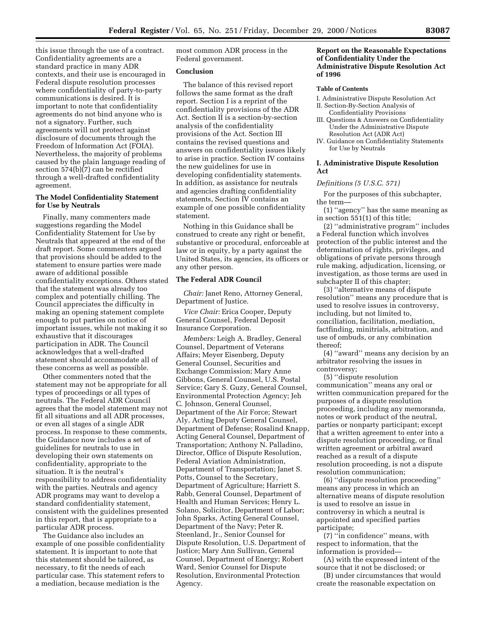this issue through the use of a contract. Confidentiality agreements are a standard practice in many ADR contexts, and their use is encouraged in Federal dispute resolution processes where confidentiality of party-to-party communications is desired. It is important to note that confidentiality agreements do not bind anyone who is not a signatory. Further, such agreements will not protect against disclosure of documents through the Freedom of Information Act (FOIA). Nevertheless, the majority of problems caused by the plain language reading of section 574(b)(7) can be rectified through a well-drafted confidentiality agreement.

# **The Model Confidentiality Statement for Use by Neutrals**

Finally, many commenters made suggestions regarding the Model Confidentiality Statement for Use by Neutrals that appeared at the end of the draft report. Some commenters argued that provisions should be added to the statement to ensure parties were made aware of additional possible confidentiality exceptions. Others stated that the statement was already too complex and potentially chilling. The Council appreciates the difficulty in making an opening statement complete enough to put parties on notice of important issues, while not making it so exhaustive that it discourages participation in ADR. The Council acknowledges that a well-drafted statement should accommodate all of these concerns as well as possible.

Other commenters noted that the statement may not be appropriate for all types of proceedings or all types of neutrals. The Federal ADR Council agrees that the model statement may not fit all situations and all ADR processes, or even all stages of a single ADR process. In response to these comments, the Guidance now includes a set of guidelines for neutrals to use in developing their own statements on confidentiality, appropriate to the situation. It is the neutral's responsibility to address confidentiality with the parties. Neutrals and agency ADR programs may want to develop a standard confidentiality statement, consistent with the guidelines presented in this report, that is appropriate to a particular ADR process.

The Guidance also includes an example of one possible confidentiality statement. It is important to note that this statement should be tailored, as necessary, to fit the needs of each particular case. This statement refers to a mediation, because mediation is the

most common ADR process in the Federal government.

# **Conclusion**

The balance of this revised report follows the same format as the draft report. Section I is a reprint of the confidentiality provisions of the ADR Act. Section II is a section-by-section analysis of the confidentiality provisions of the Act. Section III contains the revised questions and answers on confidentiality issues likely to arise in practice. Section IV contains the new guidelines for use in developing confidentiality statements. In addition, as assistance for neutrals and agencies drafting confidentiality statements, Section IV contains an example of one possible confidentiality statement.

Nothing in this Guidance shall be construed to create any right or benefit, substantive or procedural, enforceable at law or in equity, by a party against the United States, its agencies, its officers or any other person.

### **The Federal ADR Council**

*Chair:* Janet Reno, Attorney General, Department of Justice.

*Vice Chair:* Erica Cooper, Deputy General Counsel, Federal Deposit Insurance Corporation.

*Members:* Leigh A. Bradley, General Counsel, Department of Veterans Affairs; Meyer Eisenberg, Deputy General Counsel, Securities and Exchange Commission; Mary Anne Gibbons, General Counsel, U.S. Postal Service; Gary S. Guzy, General Counsel, Environmental Protection Agency; Jeh C. Johnson, General Counsel, Department of the Air Force; Stewart Aly, Acting Deputy General Counsel, Department of Defense; Rosalind Knapp, Acting General Counsel, Department of Transportation; Anthony N. Palladino, Director, Office of Dispute Resolution, Federal Aviation Administration, Department of Transportation; Janet S. Potts, Counsel to the Secretary, Department of Agriculture; Harriett S. Rabb, General Counsel, Department of Health and Human Services; Henry L. Solano, Solicitor, Department of Labor; John Sparks, Acting General Counsel, Department of the Navy; Peter R. Steenland, Jr., Senior Counsel for Dispute Resolution, U.S. Department of Justice; Mary Ann Sullivan, General Counsel, Department of Energy; Robert Ward, Senior Counsel for Dispute Resolution, Environmental Protection Agency.

# **Report on the Reasonable Expectations of Confidentiality Under the Administrative Dispute Resolution Act of 1996**

#### **Table of Contents**

- I. Administrative Dispute Resolution Act II. Section-By-Section Analysis of
- Confidentiality Provisions III. Questions & Answers on Confidentiality Under the Administrative Dispute
- Resolution Act (ADR Act) IV. Guidance on Confidentiality Statements for Use by Neutrals

# **I. Administrative Dispute Resolution Act**

# *Definitions (5 U.S.C. 571)*

For the purposes of this subchapter, the term—

(1) ''agency'' has the same meaning as in section 551(1) of this title;

(2) ''administrative program'' includes a Federal function which involves protection of the public interest and the determination of rights, privileges, and obligations of private persons through rule making, adjudication, licensing, or investigation, as those terms are used in subchapter II of this chapter;

(3) ''alternative means of dispute resolution'' means any procedure that is used to resolve issues in controversy, including, but not limited to, conciliation, facilitation, mediation, factfinding, minitrials, arbitration, and use of ombuds, or any combination thereof;

(4) ''award'' means any decision by an arbitrator resolving the issues in controversy;

(5) ''dispute resolution communication'' means any oral or written communication prepared for the purposes of a dispute resolution proceeding, including any memoranda, notes or work product of the neutral, parties or nonparty participant; except that a written agreement to enter into a dispute resolution proceeding, or final written agreement or arbitral award reached as a result of a dispute resolution proceeding, is not a dispute resolution communication;

(6) ''dispute resolution proceeding'' means any process in which an alternative means of dispute resolution is used to resolve an issue in controversy in which a neutral is appointed and specified parties participate;

(7) ''in confidence'' means, with respect to information, that the information is provided—

(A) with the expressed intent of the source that it not be disclosed; or

(B) under circumstances that would create the reasonable expectation on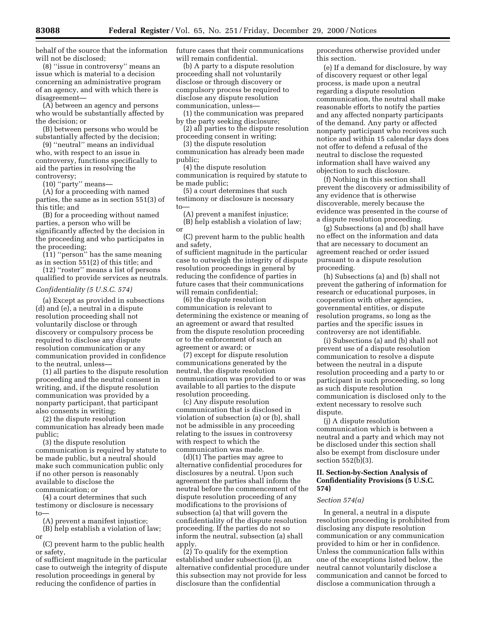behalf of the source that the information will not be disclosed;

(8) ''issue in controversy'' means an issue which is material to a decision concerning an administrative program of an agency, and with which there is disagreement—

(A) between an agency and persons who would be substantially affected by the decision; or

(B) between persons who would be substantially affected by the decision;

(9) ''neutral'' means an individual who, with respect to an issue in controversy, functions specifically to aid the parties in resolving the controversy;

(10) ''party'' means—

(A) for a proceeding with named parties, the same as in section 551(3) of this title; and

(B) for a proceeding without named parties, a person who will be significantly affected by the decision in the proceeding and who participates in the proceeding;

(11) ''person'' has the same meaning as in section 551(2) of this title; and

(12) ''roster'' means a list of persons qualified to provide services as neutrals.

#### *Confidentiality (5 U.S.C. 574)*

(a) Except as provided in subsections (d) and (e), a neutral in a dispute resolution proceeding shall not voluntarily disclose or through discovery or compulsory process be required to disclose any dispute resolution communication or any communication provided in confidence to the neutral, unless—

(1) all parties to the dispute resolution proceeding and the neutral consent in writing, and, if the dispute resolution communication was provided by a nonparty participant, that participant also consents in writing;

(2) the dispute resolution communication has already been made public;

(3) the dispute resolution communication is required by statute to be made public, but a neutral should make such communication public only if no other person is reasonably available to disclose the communication; or

(4) a court determines that such testimony or disclosure is necessary to—

(A) prevent a manifest injustice;

(B) help establish a violation of law; or

(C) prevent harm to the public health or safety,

of sufficient magnitude in the particular case to outweigh the integrity of dispute resolution proceedings in general by reducing the confidence of parties in

future cases that their communications will remain confidential.

(b) A party to a dispute resolution proceeding shall not voluntarily disclose or through discovery or compulsory process be required to disclose any dispute resolution communication, unless—

(1) the communication was prepared by the party seeking disclosure;

(2) all parties to the dispute resolution proceeding consent in writing;

(3) the dispute resolution

communication has already been made public;

(4) the dispute resolution

communication is required by statute to be made public;

(5) a court determines that such testimony or disclosure is necessary to—

(A) prevent a manifest injustice; (B) help establish a violation of law; or

(C) prevent harm to the public health and safety,

of sufficient magnitude in the particular case to outweigh the integrity of dispute resolution proceedings in general by reducing the confidence of parties in future cases that their communications will remain confidential;

(6) the dispute resolution communication is relevant to determining the existence or meaning of an agreement or award that resulted from the dispute resolution proceeding or to the enforcement of such an agreement or award; or

(7) except for dispute resolution communications generated by the neutral, the dispute resolution communication was provided to or was available to all parties to the dispute resolution proceeding.

(c) Any dispute resolution communication that is disclosed in violation of subsection (a) or (b), shall not be admissible in any proceeding relating to the issues in controversy with respect to which the communication was made.

(d)(1) The parties may agree to alternative confidential procedures for disclosures by a neutral. Upon such agreement the parties shall inform the neutral before the commencement of the dispute resolution proceeding of any modifications to the provisions of subsection (a) that will govern the confidentiality of the dispute resolution proceeding. If the parties do not so inform the neutral, subsection (a) shall apply.

(2) To qualify for the exemption established under subsection (j), an alternative confidential procedure under this subsection may not provide for less disclosure than the confidential

procedures otherwise provided under this section.

(e) If a demand for disclosure, by way of discovery request or other legal process, is made upon a neutral regarding a dispute resolution communication, the neutral shall make reasonable efforts to notify the parties and any affected nonparty participants of the demand. Any party or affected nonparty participant who receives such notice and within 15 calendar days does not offer to defend a refusal of the neutral to disclose the requested information shall have waived any objection to such disclosure.

(f) Nothing in this section shall prevent the discovery or admissibility of any evidence that is otherwise discoverable, merely because the evidence was presented in the course of a dispute resolution proceeding.

(g) Subsections (a) and (b) shall have no effect on the information and data that are necessary to document an agreement reached or order issued pursuant to a dispute resolution proceeding.

(h) Subsections (a) and (b) shall not prevent the gathering of information for research or educational purposes, in cooperation with other agencies, governmental entities, or dispute resolution programs, so long as the parties and the specific issues in controversy are not identifiable.

(i) Subsections (a) and (b) shall not prevent use of a dispute resolution communication to resolve a dispute between the neutral in a dispute resolution proceeding and a party to or participant in such proceeding, so long as such dispute resolution communication is disclosed only to the extent necessary to resolve such dispute.

(j) A dispute resolution communication which is between a neutral and a party and which may not be disclosed under this section shall also be exempt from disclosure under section 552(b)(3).

# **II. Section-by-Section Analysis of Confidentiality Provisions (5 U.S.C. 574)**

# *Section 574(a)*

In general, a neutral in a dispute resolution proceeding is prohibited from disclosing any dispute resolution communication or any communication provided to him or her in confidence. Unless the communication falls within one of the exceptions listed below, the neutral cannot voluntarily disclose a communication and cannot be forced to disclose a communication through a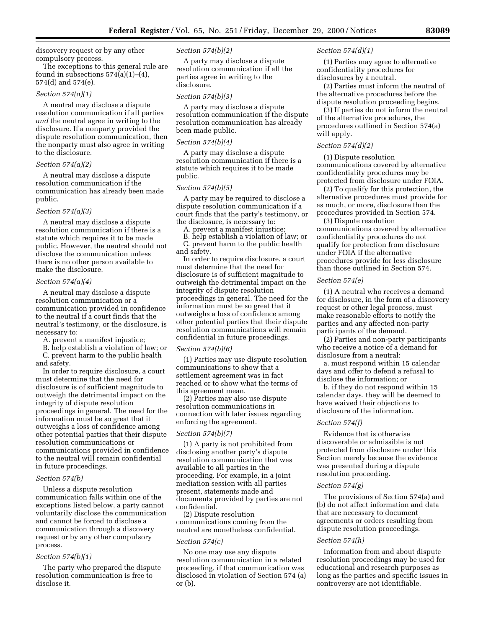discovery request or by any other compulsory process.

The exceptions to this general rule are found in subsections  $574(a)(1)–(4)$ , 574(d) and 574(e).

# *Section 574(a)(1)*

A neutral may disclose a dispute resolution communication if all parties *and* the neutral agree in writing to the disclosure. If a nonparty provided the dispute resolution communication, then the nonparty must also agree in writing to the disclosure.

### *Section 574(a)(2)*

A neutral may disclose a dispute resolution communication if the communication has already been made public.

#### *Section 574(a)(3)*

A neutral may disclose a dispute resolution communication if there is a statute which requires it to be made public. However, the neutral should not disclose the communication unless there is no other person available to make the disclosure.

### *Section 574(a)(4)*

A neutral may disclose a dispute resolution communication or a communication provided in confidence to the neutral if a court finds that the neutral's testimony, or the disclosure, is necessary to:

A. prevent a manifest injustice;

B. help establish a violation of law; or C. prevent harm to the public health and safety.

In order to require disclosure, a court must determine that the need for disclosure is of sufficient magnitude to outweigh the detrimental impact on the integrity of dispute resolution proceedings in general. The need for the information must be so great that it outweighs a loss of confidence among other potential parties that their dispute resolution communications or communications provided in confidence to the neutral will remain confidential in future proceedings.

### *Section 574(b)*

Unless a dispute resolution communication falls within one of the exceptions listed below, a party cannot voluntarily disclose the communication and cannot be forced to disclose a communication through a discovery request or by any other compulsory process.

### *Section 574(b)(1)*

The party who prepared the dispute resolution communication is free to disclose it.

#### *Section 574(b)(2)*

A party may disclose a dispute resolution communication if all the parties agree in writing to the disclosure.

#### *Section 574(b)(3)*

A party may disclose a dispute resolution communication if the dispute resolution communication has already been made public.

### *Section 574(b)(4)*

A party may disclose a dispute resolution communication if there is a statute which requires it to be made public.

#### *Section 574(b)(5)*

A party may be required to disclose a dispute resolution communication if a court finds that the party's testimony, or the disclosure, is necessary to:

A. prevent a manifest injustice; B. help establish a violation of law; or C. prevent harm to the public health

and safety.

In order to require disclosure, a court must determine that the need for disclosure is of sufficient magnitude to outweigh the detrimental impact on the integrity of dispute resolution proceedings in general. The need for the information must be so great that it outweighs a loss of confidence among other potential parties that their dispute resolution communications will remain confidential in future proceedings.

## *Section 574(b)(6)*

(1) Parties may use dispute resolution communications to show that a settlement agreement was in fact reached or to show what the terms of this agreement mean.

(2) Parties may also use dispute resolution communications in connection with later issues regarding enforcing the agreement.

# *Section 574(b)(7)*

(1) A party is not prohibited from disclosing another party's dispute resolution communication that was available to all parties in the proceeding. For example, in a joint mediation session with all parties present, statements made and documents provided by parties are not confidential.

(2) Dispute resolution communications coming from the neutral are nonetheless confidential.

### *Section 574(c)*

No one may use any dispute resolution communication in a related proceeding, if that communication was disclosed in violation of Section 574 (a) or (b).

### *Section 574(d)(1)*

(1) Parties may agree to alternative confidentiality procedures for disclosures by a neutral.

(2) Parties must inform the neutral of the alternative procedures before the dispute resolution proceeding begins.

(3) If parties do not inform the neutral of the alternative procedures, the procedures outlined in Section 574(a) will apply.

#### *Section 574(d)(2)*

(1) Dispute resolution communications covered by alternative confidentiality procedures may be protected from disclosure under FOIA.

(2) To qualify for this protection, the alternative procedures must provide for as much, or more, disclosure than the procedures provided in Section 574.

(3) Dispute resolution communications covered by alternative confidentiality procedures do not qualify for protection from disclosure under FOIA if the alternative procedures provide for less disclosure than those outlined in Section 574.

### *Section 574(e)*

(1) A neutral who receives a demand for disclosure, in the form of a discovery request or other legal process, must make reasonable efforts to notify the parties and any affected non-party participants of the demand.

(2) Parties and non-party participants who receive a notice of a demand for disclosure from a neutral:

a. must respond within 15 calendar days and offer to defend a refusal to disclose the information; or

b. if they do not respond within 15 calendar days, they will be deemed to have waived their objections to disclosure of the information.

### *Section 574(f)*

Evidence that is otherwise discoverable or admissible is not protected from disclosure under this Section merely because the evidence was presented during a dispute resolution proceeding.

### *Section 574(g)*

The provisions of Section 574(a) and (b) do not affect information and data that are necessary to document agreements or orders resulting from dispute resolution proceedings.

### *Section 574(h)*

Information from and about dispute resolution proceedings may be used for educational and research purposes as long as the parties and specific issues in controversy are not identifiable.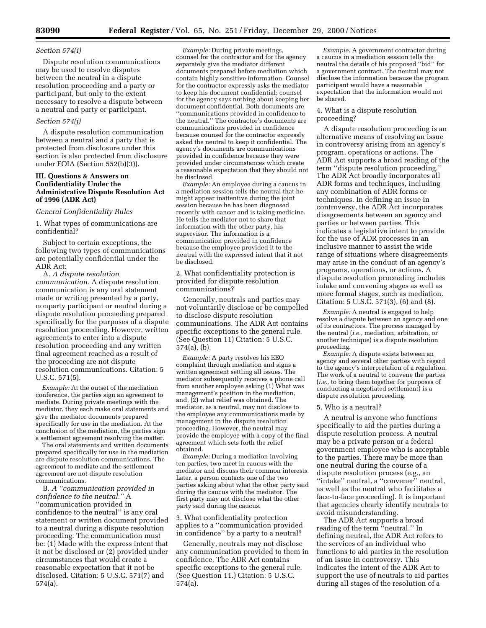#### *Section 574(i)*

Dispute resolution communications may be used to resolve disputes between the neutral in a dispute resolution proceeding and a party or participant, but only to the extent necessary to resolve a dispute between a neutral and party or participant.

# *Section 574(j)*

A dispute resolution communication between a neutral and a party that is protected from disclosure under this section is also protected from disclosure under FOIA (Section 552(b)(3)).

# **III. Questions & Answers on Confidentiality Under the Administrative Dispute Resolution Act of 1996 (ADR Act)**

## *General Confidentiality Rules*

1. What types of communications are confidential?

Subject to certain exceptions, the following two types of communications are potentially confidential under the ADR Act:

A. *A dispute resolution communication.* A dispute resolution communication is any oral statement made or writing presented by a party, nonparty participant or neutral during a dispute resolution proceeding prepared specifically for the purposes of a dispute resolution proceeding. However, written agreements to enter into a dispute resolution proceeding and any written final agreement reached as a result of the proceeding are not dispute resolution communications. Citation: 5 U.S.C. 571(5).

*Example:* At the outset of the mediation conference, the parties sign an agreement to mediate. During private meetings with the mediator, they each make oral statements and give the mediator documents prepared specifically for use in the mediation. At the conclusion of the mediation, the parties sign a settlement agreement resolving the matter.

The oral statements and written documents prepared specifically for use in the mediation are dispute resolution communications. The agreement to mediate and the settlement agreement are not dispute resolution communications.

B. *A ''communication provided in confidence to the neutral.''* A ''communication provided in confidence to the neutral'' is any oral statement or written document provided to a neutral during a dispute resolution proceeding. The communication must be: (1) Made with the express intent that it not be disclosed or (2) provided under circumstances that would create a reasonable expectation that it not be disclosed. Citation: 5 U.S.C. 571(7) and 574(a).

*Example:* During private meetings, counsel for the contractor and for the agency separately give the mediator different documents prepared before mediation which contain highly sensitive information. Counsel for the contractor expressly asks the mediator to keep his document confidential; counsel for the agency says nothing about keeping her document confidential. Both documents are ''communications provided in confidence to the neutral.'' The contractor's documents are communications provided in confidence because counsel for the contractor expressly asked the neutral to keep it confidential. The agency's documents are communications provided in confidence because they were provided under circumstances which create a reasonable expectation that they should not be disclosed.

*Example:* An employee during a caucus in a mediation session tells the neutral that he might appear inattentive during the joint session because he has been diagnosed recently with cancer and is taking medicine. He tells the mediator not to share that information with the other party, his supervisor. The information is a communication provided in confidence because the employee provided it to the neutral with the expressed intent that it not be disclosed.

2. What confidentiality protection is provided for dispute resolution communications?

Generally, neutrals and parties may not voluntarily disclose or be compelled to disclose dispute resolution communications. The ADR Act contains specific exceptions to the general rule. (See Question 11) Citation: 5 U.S.C. 574(a), (b).

*Example:* A party resolves his EEO complaint through mediation and signs a written agreement settling all issues. The mediator subsequently receives a phone call from another employee asking (1) What was management's position in the mediation, and, (2) what relief was obtained. The mediator, as a neutral, may not disclose to the employee any communications made by management in the dispute resolution proceeding. However, the neutral may provide the employee with a copy of the final agreement which sets forth the relief obtained.

*Example:* During a mediation involving ten parties, two meet in caucus with the mediator and discuss their common interests. Later, a person contacts one of the two parties asking about what the other party said during the caucus with the mediator. The first party may not disclose what the other party said during the caucus.

3. What confidentiality protection applies to a ''communication provided in confidence'' by a party to a neutral?

Generally, neutrals may not disclose any communication provided to them in confidence. The ADR Act contains specific exceptions to the general rule. (See Question 11.) Citation: 5 U.S.C. 574(a).

*Example:* A government contractor during a caucus in a mediation session tells the neutral the details of his proposed ''bid'' for a government contract. The neutral may not disclose the information because the program participant would have a reasonable expectation that the information would not be shared.

# 4. What is a dispute resolution proceeding?

A dispute resolution proceeding is an alternative means of resolving an issue in controversy arising from an agency's program, operations or actions. The ADR Act supports a broad reading of the term ''dispute resolution proceeding.'' The ADR Act broadly incorporates all ADR forms and techniques, including any combination of ADR forms or techniques. In defining an issue in controversy, the ADR Act incorporates disagreements between an agency and parties or between parties. This indicates a legislative intent to provide for the use of ADR processes in an inclusive manner to assist the wide range of situations where disagreements may arise in the conduct of an agency's programs, operations, or actions. A dispute resolution proceeding includes intake and convening stages as well as more formal stages, such as mediation. Citation: 5 U.S.C. 571(3), (6) and (8).

*Example:* A neutral is engaged to help resolve a dispute between an agency and one of its contractors. The process managed by the neutral (*i.e.,* mediation, arbitration, or another technique) is a dispute resolution proceeding.

*Example:* A dispute exists between an agency and several other parties with regard to the agency's interpretation of a regulation. The work of a neutral to convene the parties (*i.e.,* to bring them together for purposes of conducting a negotiated settlement) is a dispute resolution proceeding.

#### 5. Who is a neutral?

A neutral is anyone who functions specifically to aid the parties during a dispute resolution process. A neutral may be a private person or a federal government employee who is acceptable to the parties. There may be more than one neutral during the course of a dispute resolution process (e.g., an "intake" neutral, a "convener" neutral, as well as the neutral who facilitates a face-to-face proceeding). It is important that agencies clearly identify neutrals to avoid misunderstanding.

The ADR Act supports a broad reading of the term ''neutral.'' In defining neutral, the ADR Act refers to the services of an individual who functions to aid parties in the resolution of an issue in controversy. This indicates the intent of the ADR Act to support the use of neutrals to aid parties during all stages of the resolution of a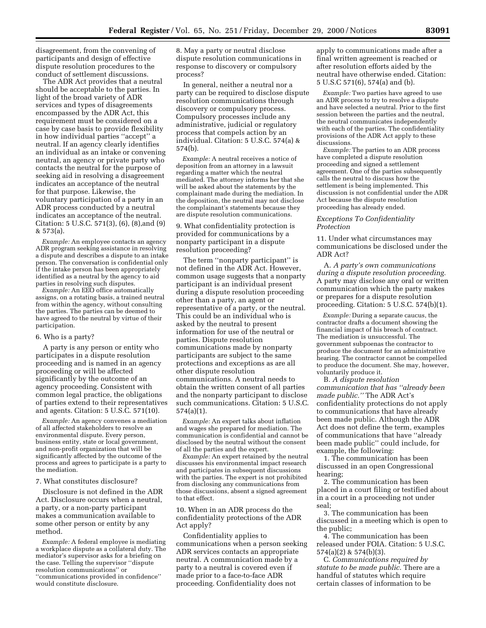disagreement, from the convening of participants and design of effective dispute resolution procedures to the conduct of settlement discussions.

The ADR Act provides that a neutral should be acceptable to the parties. In light of the broad variety of ADR services and types of disagreements encompassed by the ADR Act, this requirement must be considered on a case by case basis to provide flexibility in how individual parties ''accept'' a neutral. If an agency clearly identifies an individual as an intake or convening neutral, an agency or private party who contacts the neutral for the purpose of seeking aid in resolving a disagreement indicates an acceptance of the neutral for that purpose. Likewise, the voluntary participation of a party in an ADR process conducted by a neutral indicates an acceptance of the neutral. Citation: 5 U.S.C. 571(3), (6), (8),and (9) & 573(a).

*Example:* An employee contacts an agency ADR program seeking assistance in resolving a dispute and describes a dispute to an intake person. The conversation is confidential only if the intake person has been appropriately identified as a neutral by the agency to aid parties in resolving such disputes.

*Example:* An EEO office automatically assigns, on a rotating basis, a trained neutral from within the agency, without consulting the parties. The parties can be deemed to have agreed to the neutral by virtue of their participation.

#### 6. Who is a party?

A party is any person or entity who participates in a dispute resolution proceeding and is named in an agency proceeding or will be affected significantly by the outcome of an agency proceeding. Consistent with common legal practice, the obligations of parties extend to their representatives and agents. Citation: 5 U.S.C. 571(10).

*Example:* An agency convenes a mediation of all affected stakeholders to resolve an environmental dispute. Every person, business entity, state or local government, and non-profit organization that will be significantly affected by the outcome of the process and agrees to participate is a party to the mediation.

7. What constitutes disclosure?

Disclosure is not defined in the ADR Act. Disclosure occurs when a neutral, a party, or a non-party participant makes a communication available to some other person or entity by any method.

*Example:* A federal employee is mediating a workplace dispute as a collateral duty. The mediator's supervisor asks for a briefing on the case. Telling the supervisor ''dispute resolution communications'' or ''communications provided in confidence'' would constitute disclosure.

8. May a party or neutral disclose dispute resolution communications in response to discovery or compulsory process?

In general, neither a neutral nor a party can be required to disclose dispute resolution communications through discovery or compulsory process. Compulsory processes include any administrative, judicial or regulatory process that compels action by an individual. Citation: 5 U.S.C. 574(a) & 574(b).

*Example:* A neutral receives a notice of deposition from an attorney in a lawsuit regarding a matter which the neutral mediated. The attorney informs her that she will be asked about the statements by the complainant made during the mediation. In the deposition, the neutral may not disclose the complainant's statements because they are dispute resolution communications.

9. What confidentiality protection is provided for communications by a nonparty participant in a dispute resolution proceeding?

The term ''nonparty participant'' is not defined in the ADR Act. However, common usage suggests that a nonparty participant is an individual present during a dispute resolution proceeding other than a party, an agent or representative of a party, or the neutral. This could be an individual who is asked by the neutral to present information for use of the neutral or parties. Dispute resolution communications made by nonparty participants are subject to the same protections and exceptions as are all other dispute resolution communications. A neutral needs to obtain the written consent of all parties and the nonparty participant to disclose such communications. Citation: 5 U.S.C. 574(a)(1).

*Example:* An expert talks about inflation and wages she prepared for mediation. The communication is confidential and cannot be disclosed by the neutral without the consent of all the parties and the expert.

*Example:* An expert retained by the neutral discusses his environmental impact research and participates in subsequent discussions with the parties. The expert is not prohibited from disclosing any communications from those discussions, absent a signed agreement to that effect.

10. When in an ADR process do the confidentiality protections of the ADR Act apply?

Confidentiality applies to communications when a person seeking ADR services contacts an appropriate neutral. A communication made by a party to a neutral is covered even if made prior to a face-to-face ADR proceeding. Confidentiality does not

apply to communications made after a final written agreement is reached or after resolution efforts aided by the neutral have otherwise ended. Citation: 5 U.S.C 571(6), 574(a) and (b).

*Example:* Two parties have agreed to use an ADR process to try to resolve a dispute and have selected a neutral. Prior to the first session between the parties and the neutral, the neutral communicates independently with each of the parties. The confidentiality provisions of the ADR Act apply to these discussions.

*Example:* The parties to an ADR process have completed a dispute resolution proceeding and signed a settlement agreement. One of the parties subsequently calls the neutral to discuss how the settlement is being implemented. This discussion is not confidential under the ADR Act because the dispute resolution proceeding has already ended.

#### *Exceptions To Confidentiality Protection*

11. Under what circumstances may communications be disclosed under the ADR Act?

A. *A party's own communications during a dispute resolution proceeding.* A party may disclose any oral or written communication which the party makes or prepares for a dispute resolution proceeding. Citation: 5 U.S.C. 574(b)(1).

*Example:* During a separate caucus, the contractor drafts a document showing the financial impact of his breach of contract. The mediation is unsuccessful. The government subpoenas the contractor to produce the document for an administrative hearing. The contractor cannot be compelled to produce the document. She may, however, voluntarily produce it.

B. *A dispute resolution communication that has ''already been made public.''* The ADR Act's confidentiality protections do not apply to communications that have already been made public. Although the ADR Act does not define the term, examples of communications that have ''already been made public'' could include, for example, the following:

1. The communication has been discussed in an open Congressional hearing;

2. The communication has been placed in a court filing or testified about in a court in a proceeding not under seal;

3. The communication has been discussed in a meeting which is open to the public;

4. The communication has been released under FOIA. Citation: 5 U.S.C. 574(a)(2) & 574(b)(3).

C. *Communications required by statute to be made public.* There are a handful of statutes which require certain classes of information to be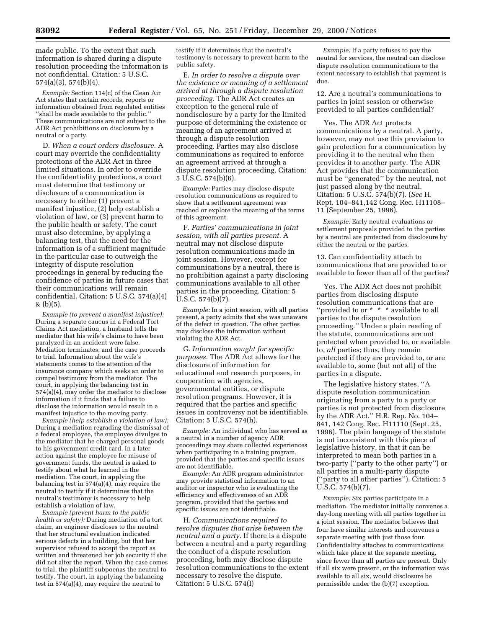made public. To the extent that such information is shared during a dispute resolution proceeding the information is not confidential. Citation: 5 U.S.C. 574(a)(3), 574(b)(4).

*Example:* Section 114(c) of the Clean Air Act states that certain records, reports or information obtained from regulated entities ''shall be made available to the public.'' These communications are not subject to the ADR Act prohibitions on disclosure by a neutral or a party.

D. *When a court orders disclosure.* A court may override the confidentiality protections of the ADR Act in three limited situations. In order to override the confidentiality protections, a court must determine that testimony or disclosure of a communication is necessary to either (1) prevent a manifest injustice, (2) help establish a violation of law, or (3) prevent harm to the public health or safety. The court must also determine, by applying a balancing test, that the need for the information is of a sufficient magnitude in the particular case to outweigh the integrity of dispute resolution proceedings in general by reducing the confidence of parties in future cases that their communications will remain confidential. Citation: 5 U.S.C. 574(a)(4) & (b)(5).

*Example (to prevent a manifest injustice):* During a separate caucus in a Federal Tort Claims Act mediation, a husband tells the mediator that his wife's claims to have been paralyzed in an accident were false. Mediation terminates, and the case proceeds to trial. Information about the wife's statements comes to the attention of the insurance company which seeks an order to compel testimony from the mediator. The court, in applying the balancing test in 574(a)(4), may order the mediator to disclose information if it finds that a failure to disclose the information would result in a manifest injustice to the moving party.

*Example (help establish a violation of law):* During a mediation regrading the dismissal of a federal employee, the employee divulges to the mediator that he charged personal goods to his government credit card. In a later action against the employee for misuse of government funds, the neutral is asked to testify about what he learned in the mediation. The court, in applying the balancing test in  $574(a)(4)$ , may require the neutral to testify if it determines that the neutral's testimony is necessary to help establish a violation of law.

*Example (prevent harm to the public health or safety):* During mediation of a tort claim, an engineer discloses to the neutral that her structural evaluation indicated serious defects in a building, but that her supervisor refused to accept the report as written and threatened her job security if she did not alter the report. When the case comes to trial, the plaintiff subpoenas the neutral to testify. The court, in applying the balancing test in 574(a)(4), may require the neutral to

testify if it determines that the neutral's testimony is necessary to prevent harm to the public safety.

E. *In order to resolve a dispute over the existence or meaning of a settlement arrived at through a dispute resolution proceeding.* The ADR Act creates an exception to the general rule of nondisclosure by a party for the limited purpose of determining the existence or meaning of an agreement arrived at through a dispute resolution proceeding. Parties may also disclose communications as required to enforce an agreement arrived at through a dispute resolution proceeding. Citation: 5 U.S.C. 574(b)(6).

*Example:* Parties may disclose dispute resolution communications as required to show that a settlement agreement was reached or explore the meaning of the terms of this agreement.

F. *Parties' communications in joint session, with all parties present.* A neutral may not disclose dispute resolution communications made in joint session. However, except for communications by a neutral, there is no prohibition against a party disclosing communications available to all other parties in the proceeding. Citation: 5 U.S.C. 574(b)(7).

*Example:* In a joint session, with all parties present, a party admits that she was unaware of the defect in question. The other parties may disclose the information without violating the ADR Act.

G. *Information sought for specific purposes.* The ADR Act allows for the disclosure of information for educational and research purposes, in cooperation with agencies, governmental entities, or dispute resolution programs. However, it is required that the parties and specific issues in controversy not be identifiable. Citation: 5 U.S.C. 574(h).

*Example:* An individual who has served as a neutral in a number of agency ADR proceedings may share collected experiences when participating in a training program, provided that the parties and specific issues are not identifiable.

*Example:* An ADR program administrator may provide statistical information to an auditor or inspector who is evaluating the efficiency and effectiveness of an ADR program, provided that the parties and specific issues are not identifiable.

H. *Communications required to resolve disputes that arise between the neutral and a party.* If there is a dispute between a neutral and a party regarding the conduct of a dispute resolution proceeding, both may disclose dispute resolution communications to the extent necessary to resolve the dispute. Citation: 5 U.S.C. 574(I)

*Example:* If a party refuses to pay the neutral for services, the neutral can disclose dispute resolution communications to the extent necessary to establish that payment is due.

12. Are a neutral's communications to parties in joint session or otherwise provided to all parties confidential?

Yes. The ADR Act protects communications by a neutral. A party, however, may not use this provision to gain protection for a communication by providing it to the neutral who then provides it to another party. The ADR Act provides that the communication must be ''generated'' by the neutral, not just passed along by the neutral. Citation: 5 U.S.C. 574(b)(7). (*See* H. Rept. 104–841,142 Cong. Rec. H11108– 11 (September 25, 1996).

*Example:* Early neutral evaluations or settlement proposals provided to the parties by a neutral are protected from disclosure by either the neutral or the parties.

13. Can confidentiality attach to communications that are provided to or available to fewer than all of the parties?

Yes. The ADR Act does not prohibit parties from disclosing dispute resolution communications that are "provided to or \* \* \* available to all parties to the dispute resolution proceeding.'' Under a plain reading of the statute, communications are not protected when provided to, or available to, *all* parties; thus, they remain protected if they are provided to, or are available to, some (but not all) of the parties in a dispute.

The legislative history states, ''A dispute resolution communication originating from a party to a party or parties is not protected from disclosure by the ADR Act.'' H.R. Rep. No. 104– 841, 142 Cong. Rec. H11110 (Sept. 25, 1996). The plain language of the statute is not inconsistent with this piece of legislative history, in that it can be interpreted to mean both parties in a two-party (''party to the other party'') or all parties in a multi-party dispute (''party to all other parties''). Citation: 5 U.S.C. 574(b)(7).

*Example:* Six parties participate in a mediation. The mediator initially convenes a day-long meeting with all parties together in a joint session. The mediator believes that four have similar interests and convenes a separate meeting with just those four. Confidentiality attaches to communications which take place at the separate meeting, since fewer than all parties are present. Only if all six were present, or the information was available to all six, would disclosure be permissible under the (b)(7) exception.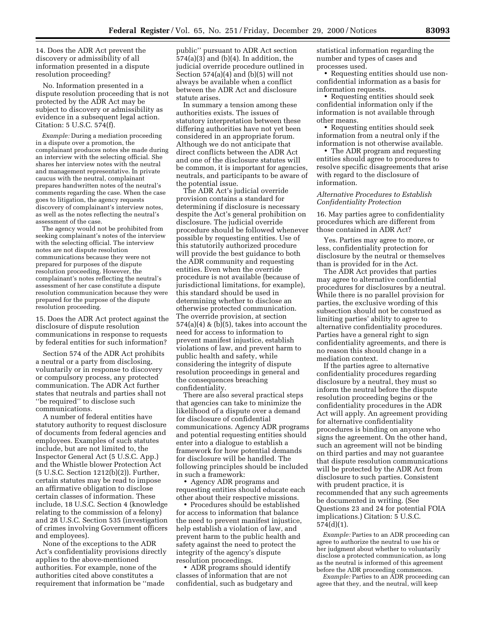14. Does the ADR Act prevent the discovery or admissibility of all information presented in a dispute resolution proceeding?

No. Information presented in a dispute resolution proceeding that is not protected by the ADR Act may be subject to discovery or admissibility as evidence in a subsequent legal action. Citation: 5 U.S.C. 574(f).

*Example:* During a mediation proceeding in a dispute over a promotion, the complainant produces notes she made during an interview with the selecting official. She shares her interview notes with the neutral and management representative. In private caucus with the neutral, complainant prepares handwritten notes of the neutral's comments regarding the case. When the case goes to litigation, the agency requests discovery of complainant's interview notes, as well as the notes reflecting the neutral's assessment of the case.

The agency would not be prohibited from seeking complainant's notes of the interview with the selecting official. The interview notes are not dispute resolution communications because they were not prepared for purposes of the dispute resolution proceeding. However, the complainant's notes reflecting the neutral's assessment of her case constitute a dispute resolution communication because they were prepared for the purpose of the dispute resolution proceeding.

15. Does the ADR Act protect against the disclosure of dispute resolution communications in response to requests by federal entities for such information?

Section 574 of the ADR Act prohibits a neutral or a party from disclosing, voluntarily or in response to discovery or compulsory process, any protected communication. The ADR Act further states that neutrals and parties shall not ''be required'' to disclose such communications.

A number of federal entities have statutory authority to request disclosure of documents from federal agencies and employees. Examples of such statutes include, but are not limited to, the Inspector General Act (5 U.S.C. App.) and the Whistle blower Protection Act (5 U.S.C. Section 1212(b)(2)). Further, certain statutes may be read to impose an affirmative obligation to disclose certain classes of information. These include, 18 U.S.C. Section 4 (knowledge relating to the commission of a felony) and 28 U.S.C. Section 535 (investigation of crimes involving Government officers and employees).

None of the exceptions to the ADR Act's confidentiality provisions directly applies to the above-mentioned authorities. For example, none of the authorities cited above constitutes a requirement that information be ''made

public'' pursuant to ADR Act section 574(a)(3) and (b)(4). In addition, the judicial override procedure outlined in Section 574(a)(4) and (b)(5) will not always be available when a conflict between the ADR Act and disclosure statute arises.

In summary a tension among these authorities exists. The issues of statutory interpretation between these differing authorities have not yet been considered in an appropriate forum. Although we do not anticipate that direct conflicts between the ADR Act and one of the disclosure statutes will be common, it is important for agencies, neutrals, and participants to be aware of the potential issue.

The ADR Act's judicial override provision contains a standard for determining if disclosure is necessary despite the Act's general prohibition on disclosure. The judicial override procedure should be followed whenever possible by requesting entities. Use of this statutorily authorized procedure will provide the best guidance to both the ADR community and requesting entities. Even when the override procedure is not available (because of jurisdictional limitations, for example), this standard should be used in determining whether to disclose an otherwise protected communication. The override provision, at section  $574(a)(4)$  & (b)(5), takes into account the need for access to information to prevent manifest injustice, establish violations of law, and prevent harm to public health and safety, while considering the integrity of dispute resolution proceedings in general and the consequences breaching confidentiality.

There are also several practical steps that agencies can take to minimize the likelihood of a dispute over a demand for disclosure of confidential communications. Agency ADR programs and potential requesting entities should enter into a dialogue to establish a framework for how potential demands for disclosure will be handled. The following principles should be included in such a framework:

• Agency ADR programs and requesting entities should educate each other about their respective missions.

• Procedures should be established for access to information that balance the need to prevent manifest injustice, help establish a violation of law, and prevent harm to the public health and safety against the need to protect the integrity of the agency's dispute resolution proceedings.

• ADR programs should identify classes of information that are not confidential, such as budgetary and statistical information regarding the number and types of cases and processes used.

• Requesting entities should use nonconfidential information as a basis for information requests.

• Requesting entities should seek confidential information only if the information is not available through other means.

• Requesting entities should seek information from a neutral only if the information is not otherwise available.

• The ADR program and requesting entities should agree to procedures to resolve specific disagreements that arise with regard to the disclosure of information.

# *Alternative Procedures to Establish Confidentiality Protection*

16. May parties agree to confidentiality procedures which are different from those contained in ADR Act?

Yes. Parties may agree to more, or less, confidentiality protection for disclosure by the neutral or themselves than is provided for in the Act.

The ADR Act provides that parties may agree to alternative confidential procedures for disclosures by a neutral. While there is no parallel provision for parties, the exclusive wording of this subsection should not be construed as limiting parties' ability to agree to alternative confidentiality procedures. Parties have a general right to sign confidentiality agreements, and there is no reason this should change in a mediation context.

If the parties agree to alternative confidentiality procedures regarding disclosure by a neutral, they must so inform the neutral before the dispute resolution proceeding begins or the confidentiality procedures in the ADR Act will apply. An agreement providing for alternative confidentiality procedures is binding on anyone who signs the agreement. On the other hand, such an agreement will not be binding on third parties and may not guarantee that dispute resolution communications will be protected by the ADR Act from disclosure to such parties. Consistent with prudent practice, it is recommended that any such agreements be documented in writing. (See Questions 23 and 24 for potential FOIA implications.) Citation: 5 U.S.C. 574(d)(1).

*Example:* Parties to an ADR proceeding can agree to authorize the neutral to use his or her judgment about whether to voluntarily disclose a protected communication, as long as the neutral is informed of this agreement before the ADR proceeding commences.

*Example:* Parties to an ADR proceeding can agree that they, and the neutral, will keep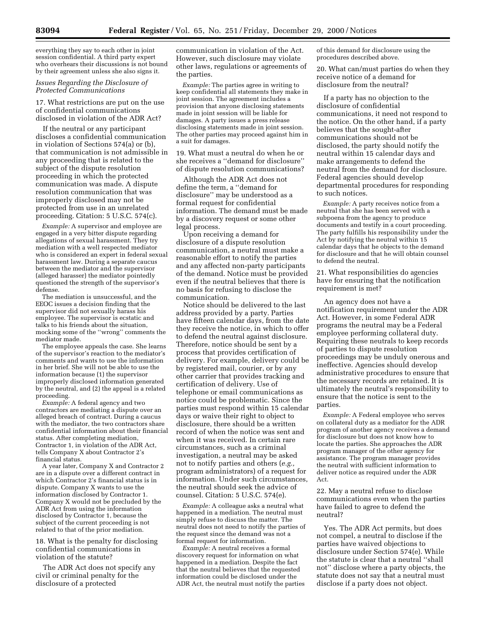everything they say to each other in joint session confidential. A third party expert who overhears their discussions is not bound by their agreement unless she also signs it.

# *Issues Regarding the Disclosure of Protected Communications*

17. What restrictions are put on the use of confidential communications disclosed in violation of the ADR Act?

If the neutral or any participant discloses a confidential communication in violation of Sections 574(a) or (b), that communication is not admissible in any proceeding that is related to the subject of the dispute resolution proceeding in which the protected communication was made. A dispute resolution communication that was improperly disclosed may not be protected from use in an unrelated proceeding. Citation: 5 U.S.C. 574(c).

*Example:* A supervisor and employee are engaged in a very bitter dispute regarding allegations of sexual harassment. They try mediation with a well respected mediator who is considered an expert in federal sexual harassment law. During a separate caucus between the mediator and the supervisor (alleged harasser) the mediator pointedly questioned the strength of the supervisor's defense.

The mediation is unsuccessful, and the EEOC issues a decision finding that the supervisor did not sexually harass his employee. The supervisor is ecstatic and talks to his friends about the situation, mocking some of the ''wrong'' comments the mediator made.

The employee appeals the case. She learns of the supervisor's reaction to the mediator's comments and wants to use the information in her brief. She will not be able to use the information because (1) the supervisor improperly disclosed information generated by the neutral, and (2) the appeal is a related proceeding.

*Example:* A federal agency and two contractors are mediating a dispute over an alleged breach of contract. During a caucus with the mediator, the two contractors share confidential information about their financial status. After completing mediation, Contractor 1, in violation of the ADR Act, tells Company X about Contractor 2's financial status.

A year later, Company X and Contractor 2 are in a dispute over a different contract in which Contractor 2's financial status is in dispute. Company X wants to use the information disclosed by Contractor 1. Company X would not be precluded by the ADR Act from using the information disclosed by Contractor 1, because the subject of the current proceeding is not related to that of the prior mediation.

18. What is the penalty for disclosing confidential communications in violation of the statute?

The ADR Act does not specify any civil or criminal penalty for the disclosure of a protected

communication in violation of the Act. However, such disclosure may violate other laws, regulations or agreements of the parties.

*Example:* The parties agree in writing to keep confidential all statements they make in joint session. The agreement includes a provision that anyone disclosing statements made in joint session will be liable for damages. A party issues a press release disclosing statements made in joint session. The other parties may proceed against him in a suit for damages.

19. What must a neutral do when he or she receives a ''demand for disclosure'' of dispute resolution communications?

Although the ADR Act does not define the term, a ''demand for disclosure'' may be understood as a formal request for confidential information. The demand must be made by a discovery request or some other legal process.

Upon receiving a demand for disclosure of a dispute resolution communication, a neutral must make a reasonable effort to notify the parties and any affected non-party participants of the demand. Notice must be provided even if the neutral believes that there is no basis for refusing to disclose the communication.

Notice should be delivered to the last address provided by a party. Parties have fifteen calendar days, from the date they receive the notice, in which to offer to defend the neutral against disclosure. Therefore, notice should be sent by a process that provides certification of delivery. For example, delivery could be by registered mail, courier, or by any other carrier that provides tracking and certification of delivery. Use of telephone or email communications as notice could be problematic. Since the parties must respond within 15 calendar days or waive their right to object to disclosure, there should be a written record of when the notice was sent and when it was received. In certain rare circumstances, such as a criminal investigation, a neutral may be asked not to notify parties and others (*e.g.,* program administrators) of a request for information. Under such circumstances, the neutral should seek the advice of counsel. Citation: 5 U.S.C. 574(e).

*Example:* A colleague asks a neutral what happened in a mediation. The neutral must simply refuse to discuss the matter. The neutral does not need to notify the parties of the request since the demand was not a formal request for information.

*Example:* A neutral receives a formal discovery request for information on what happened in a mediation. Despite the fact that the neutral believes that the requested information could be disclosed under the ADR Act, the neutral must notify the parties

of this demand for disclosure using the procedures described above.

20. What can/must parties do when they receive notice of a demand for disclosure from the neutral?

If a party has no objection to the disclosure of confidential communications, it need not respond to the notice. On the other hand, if a party believes that the sought-after communications should not be disclosed, the party should notify the neutral within 15 calendar days and make arrangements to defend the neutral from the demand for disclosure. Federal agencies should develop departmental procedures for responding to such notices.

*Example:* A party receives notice from a neutral that she has been served with a subpoena from the agency to produce documents and testify in a court proceeding. The party fulfills his responsibility under the Act by notifying the neutral within 15 calendar days that he objects to the demand for disclosure and that he will obtain counsel to defend the neutral.

21. What responsibilities do agencies have for ensuring that the notification requirement is met?

An agency does not have a notification requirement under the ADR Act. However, in some Federal ADR programs the neutral may be a Federal employee performing collateral duty. Requiring these neutrals to keep records of parties to dispute resolution proceedings may be unduly onerous and ineffective. Agencies should develop administrative procedures to ensure that the necessary records are retained. It is ultimately the neutral's responsibility to ensure that the notice is sent to the parties.

*Example:* A Federal employee who serves on collateral duty as a mediator for the ADR program of another agency receives a demand for disclosure but does not know how to locate the parties. She approaches the ADR program manager of the other agency for assistance. The program manager provides the neutral with sufficient information to deliver notice as required under the ADR Act.

22. May a neutral refuse to disclose communications even when the parties have failed to agree to defend the neutral?

Yes. The ADR Act permits, but does not compel, a neutral to disclose if the parties have waived objections to disclosure under Section 574(e). While the statute is clear that a neutral ''shall not'' disclose where a party objects, the statute does not say that a neutral must disclose if a party does not object.